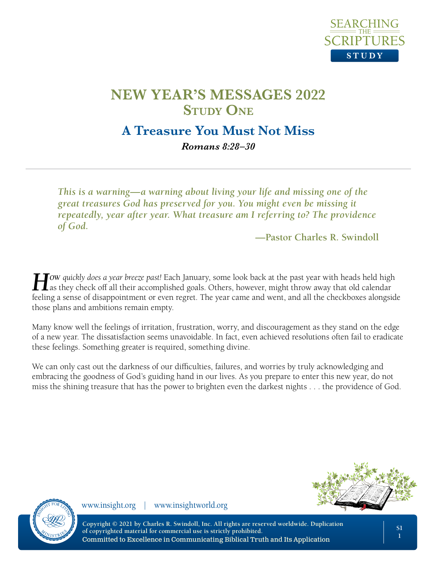

# **A Treasure You Must Not Miss**

*Romans 8:28–30*

*This is a warning—a warning about living your life and missing one of the great treasures God has preserved for you. You might even be missing it repeatedly, year after year. What treasure am I referring to? The providence of God.*

**—Pastor Charles R. Swindoll**

**How** *quickly does a year breeze past!* Each January, some look back at the past year with heads held high as they check off all their accomplished goals. Others, however, might throw away that old calendar feeling a sense of disappointment or even regret. The year came and went, and all the checkboxes alongside those plans and ambitions remain empty.

Many know well the feelings of irritation, frustration, worry, and discouragement as they stand on the edge of a new year. The dissatisfaction seems unavoidable. In fact, even achieved resolutions often fail to eradicate these feelings. Something greater is required, something divine.

We can only cast out the darkness of our difficulties, failures, and worries by truly acknowledging and embracing the goodness of God's guiding hand in our lives. As you prepare to enter this new year, do not miss the shining treasure that has the power to brighten even the darkest nights . . . the providence of God.



www.insight.org | www.insightworld.org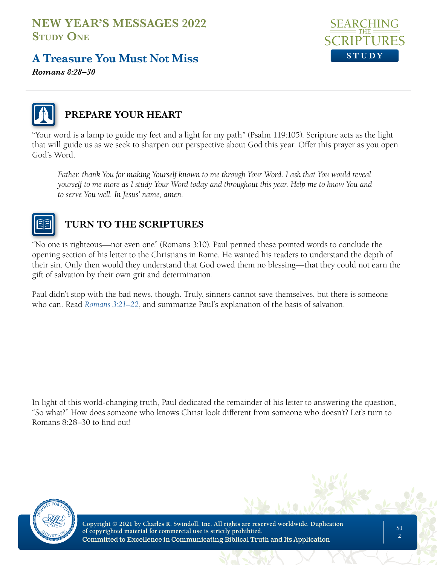# **A Treasure You Must Not Miss**



*Romans 8:28–30*



#### **PREPARE YOUR HEART**

"Your word is a lamp to guide my feet and a light for my path" (Psalm 119:105). Scripture acts as the light that will guide us as we seek to sharpen our perspective about God this year. Offer this prayer as you open God's Word.

Father, thank You for making Yourself known to me through Your Word. I ask that You would reveal *yourself to me more as I study Your Word today and throughout this year. Help me to know You and to serve You well. In Jesus' name, amen.*



## **TURN TO THE SCRIPTURES**

"No one is righteous—not even one" (Romans 3:10). Paul penned these pointed words to conclude the opening section of his letter to the Christians in Rome. He wanted his readers to understand the depth of their sin. Only then would they understand that God owed them no blessing—that they could not earn the gift of salvation by their own grit and determination.

Paul didn't stop with the bad news, though. Truly, sinners cannot save themselves, but there is someone who can. Read *Romans 3:21–22*, and summarize Paul's explanation of the basis of salvation.

In light of this world-changing truth, Paul dedicated the remainder of his letter to answering the question, "So what?" How does someone who knows Christ look different from someone who doesn't? Let's turn to Romans 8:28–30 to find out!

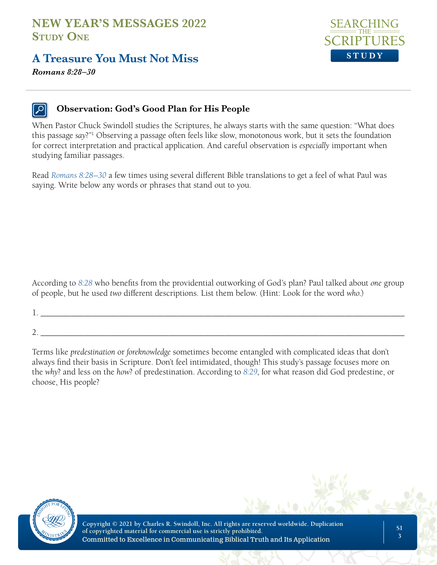# **A Treasure You Must Not Miss**



*Romans 8:28–30*

#### **Observation: God's Good Plan for His People**

When Pastor Chuck Swindoll studies the Scriptures, he always starts with the same question: "What does this passage *say*?"1 Observing a passage often feels like slow, monotonous work, but it sets the foundation for correct interpretation and practical application. And careful observation is *especially* important when studying familiar passages.

Read *Romans 8:28–30* a few times using several different Bible translations to get a feel of what Paul was saying. Write below any words or phrases that stand out to you.

According to *8:28* who benefits from the providential outworking of God's plan? Paul talked about *one* group of people, but he used *two* different descriptions. List them below. (Hint: Look for the word *who*.)

 $1. \ \_ \ \_ \ \_ \$ 

2. \_\_\_\_\_\_\_\_\_\_\_\_\_\_\_\_\_\_\_\_\_\_\_\_\_\_\_\_\_\_\_\_\_\_\_\_\_\_\_\_\_\_\_\_\_\_\_\_\_\_\_\_\_\_\_\_\_\_\_\_\_\_\_\_\_\_\_\_\_\_\_\_\_\_\_\_\_\_\_\_\_\_\_\_\_

Terms like *predestination* or *foreknowledge* sometimes become entangled with complicated ideas that don't always find their basis in Scripture. Don't feel intimidated, though! This study's passage focuses more on the *why*? and less on the *how*? of predestination. According to *8:29*, for what reason did God predestine, or choose, His people?

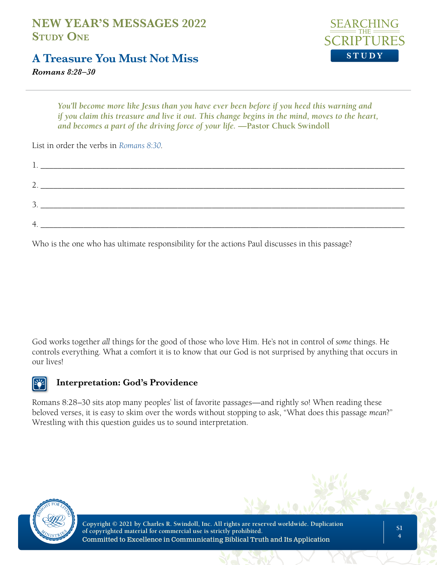# **A Treasure You Must Not Miss**



*Romans 8:28–30*

*You'll become more like Jesus than you have ever been before if you heed this warning and if you claim this treasure and live it out. This change begins in the mind, moves to the heart, and becomes a part of the driving force of your life.* **—Pastor Chuck Swindoll**

List in order the verbs in *Romans 8:30*.

| $\perp$ . |  |
|-----------|--|
| <u>.</u>  |  |
| <u>.</u>  |  |
| 4         |  |

Who is the one who has ultimate responsibility for the actions Paul discusses in this passage?

God works together *all* things for the good of those who love Him. He's not in control of *some* things. He controls everything. What a comfort it is to know that our God is not surprised by anything that occurs in our lives!

#### **Interpretation: God's Providence**

Romans 8:28–30 sits atop many peoples' list of favorite passages—and rightly so! When reading these beloved verses, it is easy to skim over the words without stopping to ask, "What does this passage *mean*?" Wrestling with this question guides us to sound interpretation.

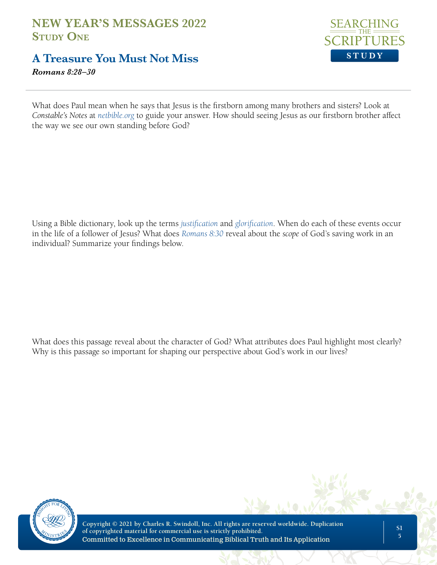# **A Treasure You Must Not Miss**

*Romans 8:28–30*



What does Paul mean when he says that Jesus is the firstborn among many brothers and sisters? Look at *Constable's Notes* at *netbible.org* to guide your answer. How should seeing Jesus as our firstborn brother affect the way we see our own standing before God?

Using a Bible dictionary, look up the terms *justification* and *glorification*. When do each of these events occur in the life of a follower of Jesus? What does *Romans 8:30* reveal about the *scope* of God's saving work in an individual? Summarize your findings below.

What does this passage reveal about the character of God? What attributes does Paul highlight most clearly? Why is this passage so important for shaping our perspective about God's work in our lives?

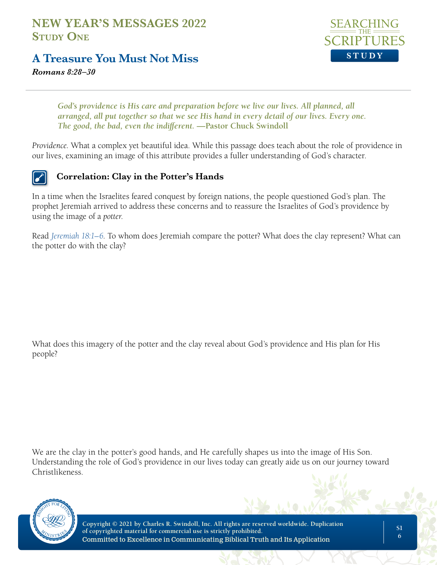

## **A Treasure You Must Not Miss**

*Romans 8:28–30*

God's providence is His care and preparation before we live our lives. All planned, all *arranged, all put together so that we see His hand in every detail of our lives. Every one. The good, the bad, even the indifferent.* **—Pastor Chuck Swindoll**

*Providence.* What a complex yet beautiful idea. While this passage does teach about the role of providence in our lives, examining an image of this attribute provides a fuller understanding of God's character.

#### **Correlation: Clay in the Potter's Hands**

In a time when the Israelites feared conquest by foreign nations, the people questioned God's plan. The prophet Jeremiah arrived to address these concerns and to reassure the Israelites of God's providence by using the image of a *potter*.

Read *Jeremiah 18:1–6*. To whom does Jeremiah compare the potter? What does the clay represent? What can the potter do with the clay?

What does this imagery of the potter and the clay reveal about God's providence and His plan for His people?

We are the clay in the potter's good hands, and He carefully shapes us into the image of His Son. Understanding the role of God's providence in our lives today can greatly aide us on our journey toward Christlikeness.

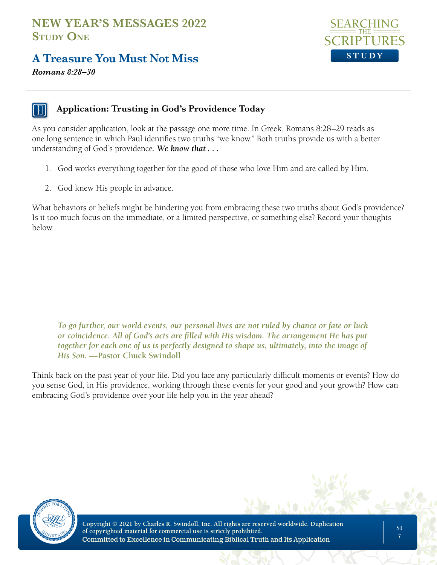# **A Treasure You Must Not Miss**



*Romans 8:28–30*

#### **Application: Trusting in God's Providence Today**

As you consider application, look at the passage one more time. In Greek, Romans 8:28–29 reads as one long sentence in which Paul identifies two truths "we know." Both truths provide us with a better understanding of God's providence. *We know that . . .* 

- 1. God works everything together for the good of those who love Him and are called by Him.
- 2. God knew His people in advance.

What behaviors or beliefs might be hindering you from embracing these two truths about God's providence? Is it too much focus on the immediate, or a limited perspective, or something else? Record your thoughts below.

*To go further, our world events, our personal lives are not ruled by chance or fate or luck or coincidence. All of God's acts are filled with His wisdom. The arrangement He has put*  together for each one of us is perfectly designed to shape us, ultimately, into the image of *His Son.* **—Pastor Chuck Swindoll**

Think back on the past year of your life. Did you face any particularly difficult moments or events? How do you sense God, in His providence, working through these events for your good and your growth? How can embracing God's providence over your life help you in the year ahead?